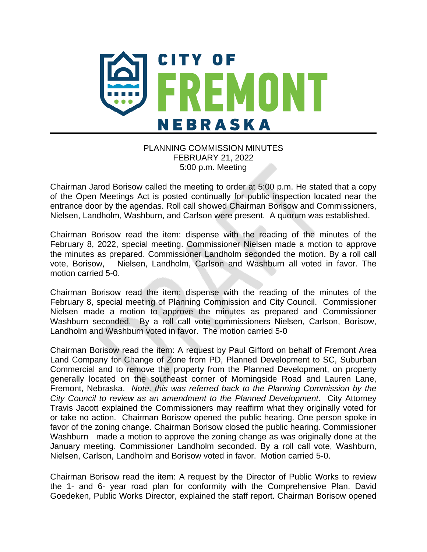

## PLANNING COMMISSION MINUTES FEBRUARY 21, 2022 5:00 p.m. Meeting

Chairman Jarod Borisow called the meeting to order at 5:00 p.m. He stated that a copy of the Open Meetings Act is posted continually for public inspection located near the entrance door by the agendas. Roll call showed Chairman Borisow and Commissioners, Nielsen, Landholm, Washburn, and Carlson were present. A quorum was established.

Chairman Borisow read the item: dispense with the reading of the minutes of the February 8, 2022, special meeting. Commissioner Nielsen made a motion to approve the minutes as prepared. Commissioner Landholm seconded the motion. By a roll call vote, Borisow, Nielsen, Landholm, Carlson and Washburn all voted in favor. The motion carried 5-0.

Chairman Borisow read the item: dispense with the reading of the minutes of the February 8, special meeting of Planning Commission and City Council. Commissioner Nielsen made a motion to approve the minutes as prepared and Commissioner Washburn seconded. By a roll call vote commissioners Nielsen, Carlson, Borisow, Landholm and Washburn voted in favor. The motion carried 5-0

Chairman Borisow read the item: A request by Paul Gifford on behalf of Fremont Area Land Company for Change of Zone from PD, Planned Development to SC, Suburban Commercial and to remove the property from the Planned Development, on property generally located on the southeast corner of Morningside Road and Lauren Lane, Fremont, Nebraska. *Note, this was referred back to the Planning Commission by the City Council to review as an amendment to the Planned Development*. City Attorney Travis Jacott explained the Commissioners may reaffirm what they originally voted for or take no action. Chairman Borisow opened the public hearing. One person spoke in favor of the zoning change. Chairman Borisow closed the public hearing. Commissioner Washburn made a motion to approve the zoning change as was originally done at the January meeting. Commissioner Landholm seconded. By a roll call vote, Washburn, Nielsen, Carlson, Landholm and Borisow voted in favor. Motion carried 5-0.

Chairman Borisow read the item: A request by the Director of Public Works to review the 1- and 6- year road plan for conformity with the Comprehensive Plan. David Goedeken, Public Works Director, explained the staff report. Chairman Borisow opened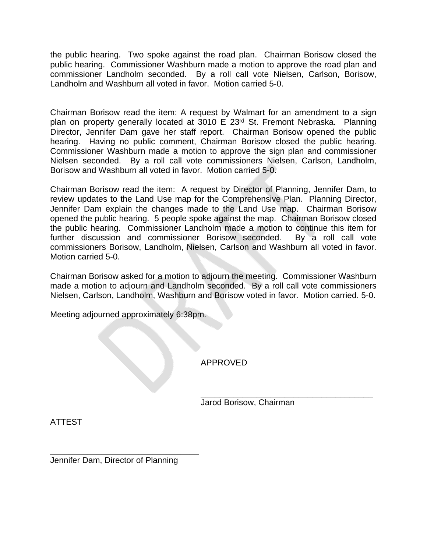the public hearing. Two spoke against the road plan. Chairman Borisow closed the public hearing. Commissioner Washburn made a motion to approve the road plan and commissioner Landholm seconded. By a roll call vote Nielsen, Carlson, Borisow, Landholm and Washburn all voted in favor. Motion carried 5-0.

Chairman Borisow read the item: A request by Walmart for an amendment to a sign plan on property generally located at 3010 E 23<sup>rd</sup> St. Fremont Nebraska. Planning Director, Jennifer Dam gave her staff report. Chairman Borisow opened the public hearing. Having no public comment, Chairman Borisow closed the public hearing. Commissioner Washburn made a motion to approve the sign plan and commissioner Nielsen seconded. By a roll call vote commissioners Nielsen, Carlson, Landholm, Borisow and Washburn all voted in favor. Motion carried 5-0.

Chairman Borisow read the item: A request by Director of Planning, Jennifer Dam, to review updates to the Land Use map for the Comprehensive Plan. Planning Director, Jennifer Dam explain the changes made to the Land Use map. Chairman Borisow opened the public hearing. 5 people spoke against the map. Chairman Borisow closed the public hearing. Commissioner Landholm made a motion to continue this item for further discussion and commissioner Borisow seconded. By a roll call vote commissioners Borisow, Landholm, Nielsen, Carlson and Washburn all voted in favor. Motion carried 5-0.

Chairman Borisow asked for a motion to adjourn the meeting. Commissioner Washburn made a motion to adjourn and Landholm seconded. By a roll call vote commissioners Nielsen, Carlson, Landholm, Washburn and Borisow voted in favor. Motion carried. 5-0.

Meeting adjourned approximately 6:38pm.

APPROVED

Jarod Borisow, Chairman

\_\_\_\_\_\_\_\_\_\_\_\_\_\_\_\_\_\_\_\_\_\_\_\_\_\_\_\_\_\_\_\_\_\_\_\_\_

ATTEST

\_\_\_\_\_\_\_\_\_\_\_\_\_\_\_\_\_\_\_\_\_\_\_\_\_\_\_\_\_\_\_\_ Jennifer Dam, Director of Planning